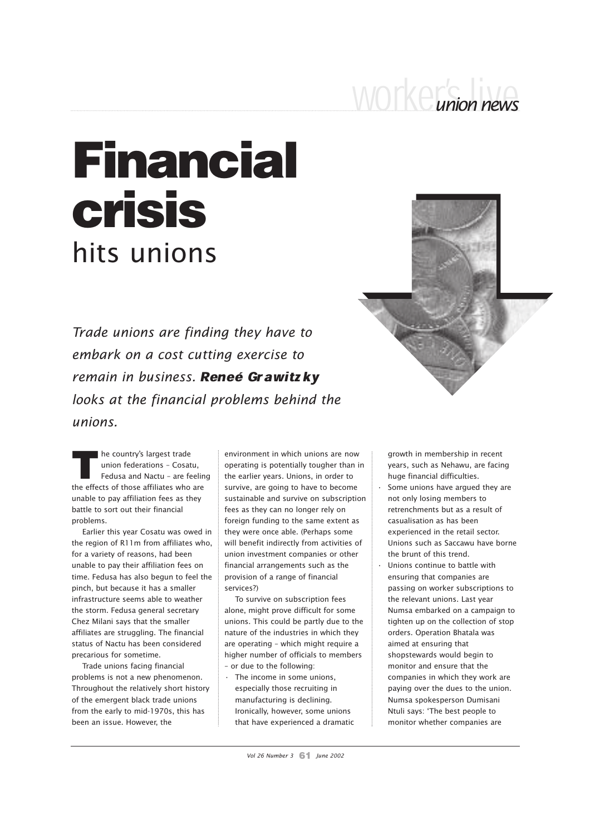## worker's live *union news*

## Financial crisis hits unions

*Trade unions are finding they have to embark on a cost cutting exercise to* remain in business. Reneé Grawitzky *looks at the financial problems behind the unions.*



The country's largest trade<br>
union federations - Cosatu,<br>
Fedusa and Nactu - are feelir<br>
the effects of those affiliates who are he country's largest trade union federations – Cosatu, Fedusa and Nactu – are feeling unable to pay affiliation fees as they battle to sort out their financial problems.

Earlier this year Cosatu was owed in the region of R11m from affiliates who, for a variety of reasons, had been unable to pay their affiliation fees on time. Fedusa has also begun to feel the pinch, but because it has a smaller infrastructure seems able to weather the storm. Fedusa general secretary Chez Milani says that the smaller affiliates are struggling. The financial status of Nactu has been considered precarious for sometime.

Trade unions facing financial problems is not a new phenomenon. Throughout the relatively short history of the emergent black trade unions from the early to mid-1970s, this has been an issue. However, the

environment in which unions are now operating is potentially tougher than in the earlier years. Unions, in order to survive, are going to have to become sustainable and survive on subscription fees as they can no longer rely on foreign funding to the same extent as they were once able. (Perhaps some will benefit indirectly from activities of union investment companies or other financial arrangements such as the provision of a range of financial services?)

To survive on subscription fees alone, might prove difficult for some unions. This could be partly due to the nature of the industries in which they are operating – which might require a higher number of officials to members – or due to the following:

• The income in some unions, especially those recruiting in manufacturing is declining. Ironically, however, some unions that have experienced a dramatic growth in membership in recent years, such as Nehawu, are facing huge financial difficulties. Some unions have argued they are not only losing members to retrenchments but as a result of casualisation as has been experienced in the retail sector.

- Unions such as Saccawu have borne the brunt of this trend. Unions continue to battle with
- ensuring that companies are passing on worker subscriptions to the relevant unions. Last year Numsa embarked on a campaign to tighten up on the collection of stop orders. Operation Bhatala was aimed at ensuring that shopstewards would begin to monitor and ensure that the companies in which they work are paying over the dues to the union. Numsa spokesperson Dumisani Ntuli says: 'The best people to monitor whether companies are